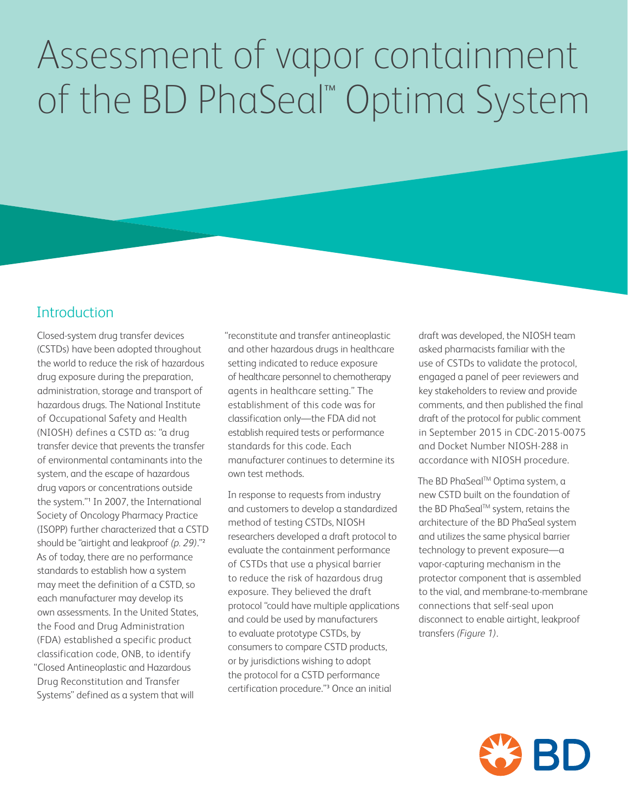# Assessment of vapor containment of the BD PhaSeal™ Optima System

#### **Introduction**

Closed-system drug transfer devices (CSTDs) have been adopted throughout the world to reduce the risk of hazardous drug exposure during the preparation, administration, storage and transport of hazardous drugs. The National Institute of Occupational Safety and Health (NIOSH) defines a CSTD as: "a drug transfer device that prevents the transfer of environmental contaminants into the system, and the escape of hazardous drug vapors or concentrations outside the system."1 In 2007, the International Society of Oncology Pharmacy Practice (ISOPP) further characterized that a CSTD should be "airtight and leakproof *(p. 29)*."2 As of today, there are no performance standards to establish how a system may meet the definition of a CSTD, so each manufacturer may develop its own assessments. In the United States, the Food and Drug Administration (FDA) established a specific product classification code, ONB, to identify "Closed Antineoplastic and Hazardous Drug Reconstitution and Transfer Systems" defined as a system that will

"reconstitute and transfer antineoplastic and other hazardous drugs in healthcare setting indicated to reduce exposure of healthcare personnel to chemotherapy agents in healthcare setting." The establishment of this code was for classification only—the FDA did not establish required tests or performance standards for this code. Each manufacturer continues to determine its own test methods.

In response to requests from industry and customers to develop a standardized method of testing CSTDs, NIOSH researchers developed a draft protocol to evaluate the containment performance of CSTDs that use a physical barrier to reduce the risk of hazardous drug exposure. They believed the draft protocol "could have multiple applications and could be used by manufacturers to evaluate prototype CSTDs, by consumers to compare CSTD products, or by jurisdictions wishing to adopt the protocol for a CSTD performance certification procedure."3 Once an initial

draft was developed, the NIOSH team asked pharmacists familiar with the use of CSTDs to validate the protocol, engaged a panel of peer reviewers and key stakeholders to review and provide comments, and then published the final draft of the protocol for public comment in September 2015 in CDC-2015-0075 and Docket Number NIOSH-288 in accordance with NIOSH procedure.

The BD PhaSeal™ Optima system, a new CSTD built on the foundation of the BD PhaSeal™ system, retains the architecture of the BD PhaSeal system and utilizes the same physical barrier technology to prevent exposure—a vapor-capturing mechanism in the protector component that is assembled to the vial, and membrane-to-membrane connections that self-seal upon disconnect to enable airtight, leakproof transfers *(Figure 1)*.

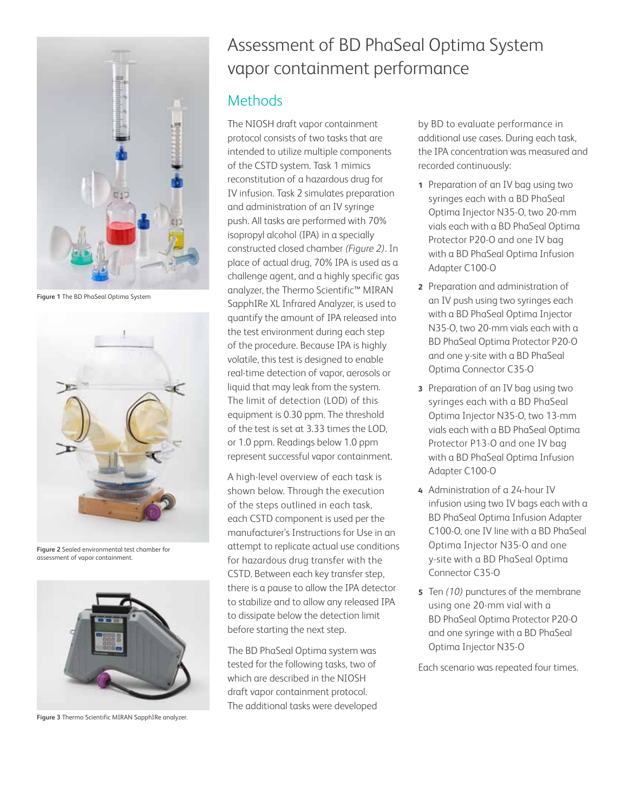

**Figure 1** The BD PhaSeal Optima System



**Figure 2** Sealed environmental test chamber for assessment of vapor containment.



**Figure 3** Thermo Scientific MIRAN SapphIRe analyzer.

## Assessment of BD PhaSeal Optima System vapor containment performance

#### **Methods**

The NIOSH draft vapor containment protocol consists of two tasks that are intended to utilize multiple components of the CSTD system. Task 1 mimics reconstitution of a hazardous drug for IV infusion. Task 2 simulates preparation and administration of an IV syringe push. All tasks are performed with 70% isopropyl alcohol (IPA) in a specially constructed closed chamber *(Figure 2)*. In place of actual drug, 70% IPA is used as a challenge agent, and a highly specific gas analyzer, the Thermo Scientific™ MIRAN SapphIRe XL Infrared Analyzer, is used to quantify the amount of IPA released into the test environment during each step of the procedure. Because IPA is highly volatile, this test is designed to enable real-time detection of vapor, aerosols or liquid that may leak from the system. The limit of detection (LOD) of this equipment is 0.30 ppm. The threshold of the test is set at 3.33 times the LOD, or 1.0 ppm. Readings below 1.0 ppm represent successful vapor containment.

A high-level overview of each task is shown below. Through the execution of the steps outlined in each task, each CSTD component is used per the manufacturer's Instructions for Use in an attempt to replicate actual use conditions for hazardous drug transfer with the CSTD. Between each key transfer step, there is a pause to allow the IPA detector to stabilize and to allow any released IPA to dissipate below the detection limit before starting the next step.

The BD PhaSeal Optima system was tested for the following tasks, two of which are described in the NIOSH draft vapor containment protocol. The additional tasks were developed by BD to evaluate performance in additional use cases. During each task, the IPA concentration was measured and recorded continuously:

- **1** Preparation of an IV bag using two syringes each with a BD PhaSeal Optima Injector N35-O, two 20-mm vials each with a BD PhaSeal Optima Protector P20-O and one IV bag with a BD PhaSeal Optima Infusion Adapter C100-O
- **2** Preparation and administration of an IV push using two syringes each with a BD PhaSeal Optima Injector N35-O, two 20-mm vials each with a BD PhaSeal Optima Protector P20-O and one y-site with a BD PhaSeal Optima Connector C35-O
- **3** Preparation of an IV bag using two syringes each with a BD PhaSeal Optima Injector N35-O, two 13-mm vials each with a BD PhaSeal Optima Protector P13-O and one IV bag with a BD PhaSeal Optima Infusion Adapter C100-O
- **4** Administration of a 24-hour IV infusion using two IV bags each with a BD PhaSeal Optima Infusion Adapter C100-O, one IV line with a BD PhaSeal Optima Injector N35-O and one y-site with a BD PhaSeal Optima Connector C35-O
- **5** Ten *(10)* punctures of the membrane using one 20-mm vial with a BD PhaSeal Optima Protector P20-O and one syringe with a BD PhaSeal Optima Injector N35-O

Each scenario was repeated four times.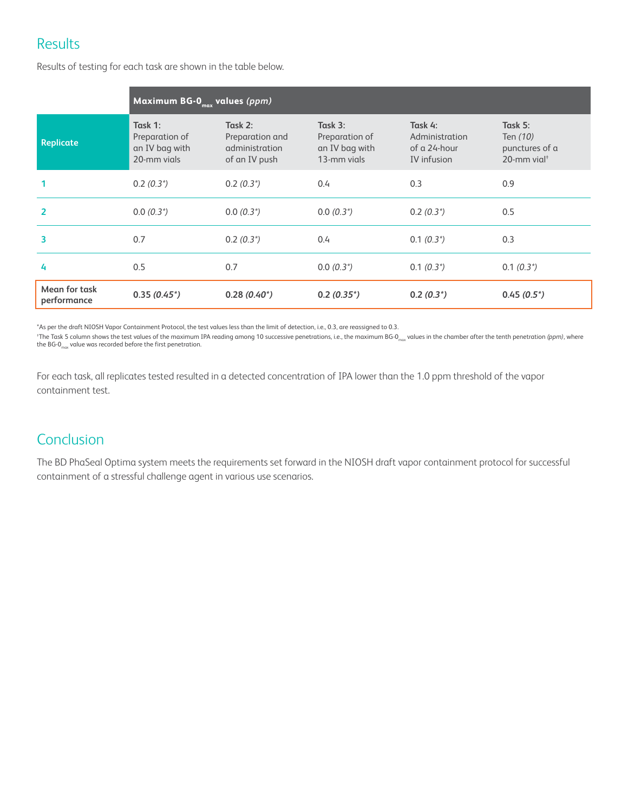### **Results**

**Maximum BG-0<sub>max</sub> values** *(ppm)* **Replicate Task 1:** Preparation of an IV bag with 20-mm vials **Task 2:** Preparation and administration of an IV push **Task 3:** Preparation of an IV bag with 13-mm vials **Task 4:** Administration of a 24-hour IV infusion **Task 5:** Ten *(10)* punctures of a 20-mm vial† **1** 0.2 *(0.3\*)* 0.2 *(0.3\*)* 0.4 0.3 0.9 **2** 0.0 *(0.3\*)* 0.0 *(0.3\*)* 0.0 *(0.3\*)* 0.2 *(0.3\*)* 0.5 **3** 0.7 0.2 *(0.3\*)* 0.4 0.1 *(0.3\*)* 0.3 **4** 0.5 0.7 0.0 *(0.3\*)* 0.1 *(0.3\*)* 0.1 *(0.3\*)* **Mean for task performance 0.35** *(0.45\*)* **0.28** *(0.40\*)* **0.2** *(0.35\*)* **0.2** *(0.3\*)* **0.45** *(0.5\*)*

Results of testing for each task are shown in the table below.

\*As per the draft NIOSH Vapor Containment Protocol, the test values less than the limit of detection, i.e., 0.3, are reassigned to 0.3.

<sup>†</sup>The Task 5 column shows the test values of the maximum IPA reading among 10 successive penetrations, i.e., the maximum BG-0<sub>max</sub> values in the chamber after the tenth penetration *(ppm)*, where the BG-0 $_{max}$  value was recorded before the first penetration.

For each task, all replicates tested resulted in a detected concentration of IPA lower than the 1.0 ppm threshold of the vapor containment test.

### **Conclusion**

The BD PhaSeal Optima system meets the requirements set forward in the NIOSH draft vapor containment protocol for successful containment of a stressful challenge agent in various use scenarios.